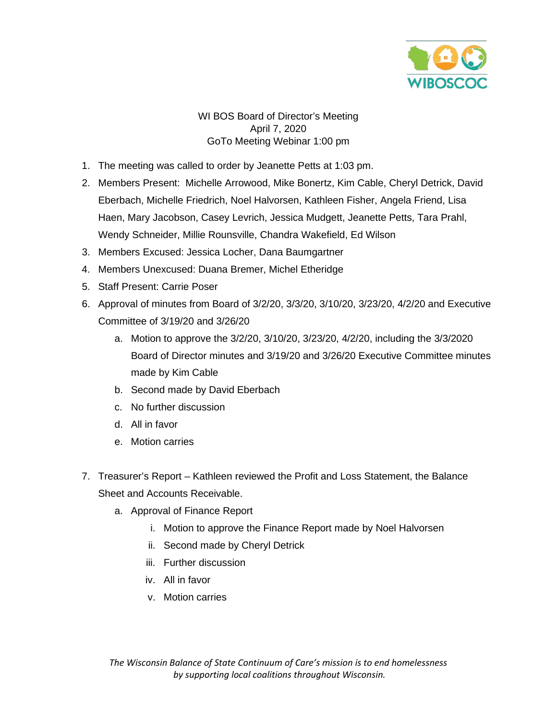

## WI BOS Board of Director's Meeting April 7, 2020 GoTo Meeting Webinar 1:00 pm

- 1. The meeting was called to order by Jeanette Petts at 1:03 pm.
- 2. Members Present: Michelle Arrowood, Mike Bonertz, Kim Cable, Cheryl Detrick, David Eberbach, Michelle Friedrich, Noel Halvorsen, Kathleen Fisher, Angela Friend, Lisa Haen, Mary Jacobson, Casey Levrich, Jessica Mudgett, Jeanette Petts, Tara Prahl, Wendy Schneider, Millie Rounsville, Chandra Wakefield, Ed Wilson
- 3. Members Excused: Jessica Locher, Dana Baumgartner
- 4. Members Unexcused: Duana Bremer, Michel Etheridge
- 5. Staff Present: Carrie Poser
- 6. Approval of minutes from Board of 3/2/20, 3/3/20, 3/10/20, 3/23/20, 4/2/20 and Executive Committee of 3/19/20 and 3/26/20
	- a. Motion to approve the 3/2/20, 3/10/20, 3/23/20, 4/2/20, including the 3/3/2020 Board of Director minutes and 3/19/20 and 3/26/20 Executive Committee minutes made by Kim Cable
	- b. Second made by David Eberbach
	- c. No further discussion
	- d. All in favor
	- e. Motion carries
- 7. Treasurer's Report Kathleen reviewed the Profit and Loss Statement, the Balance Sheet and Accounts Receivable.
	- a. Approval of Finance Report
		- i. Motion to approve the Finance Report made by Noel Halvorsen
		- ii. Second made by Cheryl Detrick
		- iii. Further discussion
		- iv. All in favor
		- v. Motion carries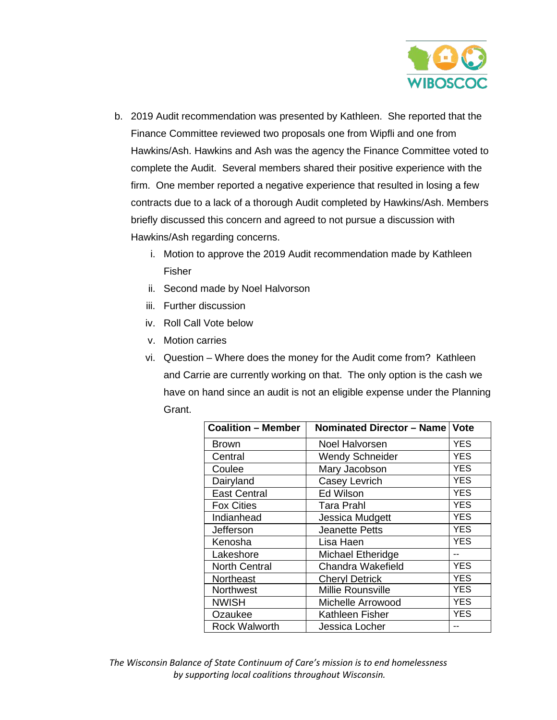

- b. 2019 Audit recommendation was presented by Kathleen. She reported that the Finance Committee reviewed two proposals one from Wipfli and one from Hawkins/Ash. Hawkins and Ash was the agency the Finance Committee voted to complete the Audit. Several members shared their positive experience with the firm. One member reported a negative experience that resulted in losing a few contracts due to a lack of a thorough Audit completed by Hawkins/Ash. Members briefly discussed this concern and agreed to not pursue a discussion with Hawkins/Ash regarding concerns.
	- i. Motion to approve the 2019 Audit recommendation made by Kathleen Fisher
	- ii. Second made by Noel Halvorson
	- iii. Further discussion
	- iv. Roll Call Vote below
	- v. Motion carries
	- vi. Question Where does the money for the Audit come from? Kathleen and Carrie are currently working on that. The only option is the cash we have on hand since an audit is not an eligible expense under the Planning Grant.

| <b>Coalition - Member</b> | Nominated Director - Name   Vote |            |
|---------------------------|----------------------------------|------------|
| <b>Brown</b>              | Noel Halvorsen                   | YES        |
| Central                   | <b>Wendy Schneider</b>           | <b>YES</b> |
| Coulee                    | Mary Jacobson                    | <b>YES</b> |
| Dairyland                 | Casey Levrich                    | <b>YES</b> |
| <b>East Central</b>       | Ed Wilson                        | <b>YES</b> |
| <b>Fox Cities</b>         | Tara Prahl                       | YES        |
| Indianhead                | Jessica Mudgett                  | <b>YES</b> |
| Jefferson                 | <b>Jeanette Petts</b>            | YES        |
| Kenosha                   | Lisa Haen                        | <b>YES</b> |
| Lakeshore                 | Michael Etheridge                |            |
| <b>North Central</b>      | Chandra Wakefield                | <b>YES</b> |
| Northeast                 | <b>Cheryl Detrick</b>            | <b>YES</b> |
| Northwest                 | Millie Rounsville                | <b>YES</b> |
| <b>NWISH</b>              | Michelle Arrowood                | <b>YES</b> |
| Ozaukee                   | Kathleen Fisher                  | YES        |
| <b>Rock Walworth</b>      | Jessica Locher                   |            |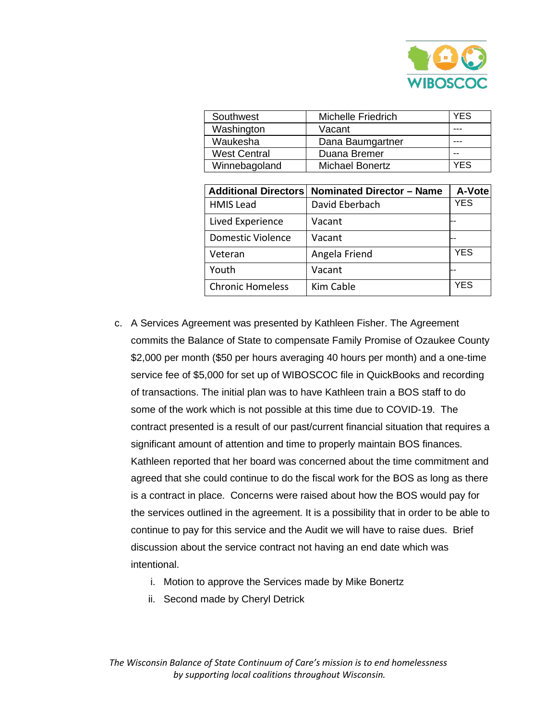

| Southwest           | <b>Michelle Friedrich</b> | YES |
|---------------------|---------------------------|-----|
| Washington          | Vacant                    |     |
| Waukesha            | Dana Baumgartner          |     |
| <b>West Central</b> | Duana Bremer              |     |
| Winnebagoland       | <b>Michael Bonertz</b>    | YES |

|                          | Additional Directors   Nominated Director - Name | A-Vote     |
|--------------------------|--------------------------------------------------|------------|
| <b>HMIS Lead</b>         | David Eberbach                                   | YES        |
| Lived Experience         | Vacant                                           |            |
| <b>Domestic Violence</b> | Vacant                                           |            |
| Veteran                  | Angela Friend                                    | <b>YES</b> |
| Youth                    | Vacant                                           |            |
| <b>Chronic Homeless</b>  | Kim Cable                                        | YFS        |

- c. A Services Agreement was presented by Kathleen Fisher. The Agreement commits the Balance of State to compensate Family Promise of Ozaukee County \$2,000 per month (\$50 per hours averaging 40 hours per month) and a one-time service fee of \$5,000 for set up of WIBOSCOC file in QuickBooks and recording of transactions. The initial plan was to have Kathleen train a BOS staff to do some of the work which is not possible at this time due to COVID-19. The contract presented is a result of our past/current financial situation that requires a significant amount of attention and time to properly maintain BOS finances. Kathleen reported that her board was concerned about the time commitment and agreed that she could continue to do the fiscal work for the BOS as long as there is a contract in place. Concerns were raised about how the BOS would pay for the services outlined in the agreement. It is a possibility that in order to be able to continue to pay for this service and the Audit we will have to raise dues. Brief discussion about the service contract not having an end date which was intentional.
	- i. Motion to approve the Services made by Mike Bonertz
	- ii. Second made by Cheryl Detrick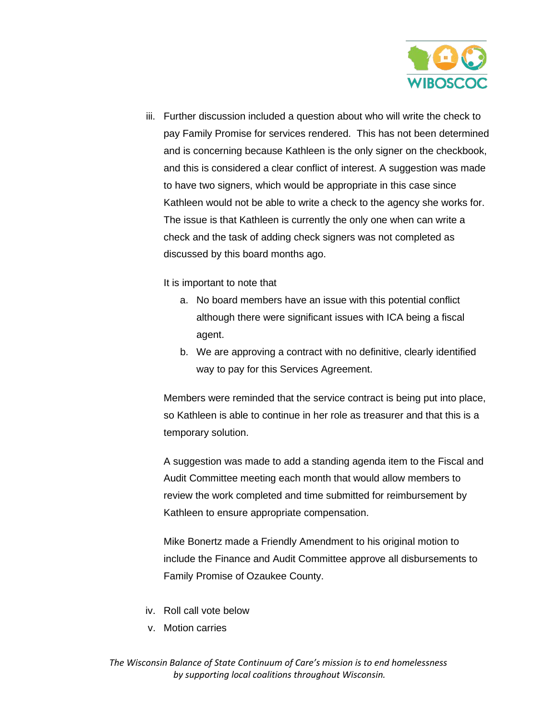

iii. Further discussion included a question about who will write the check to pay Family Promise for services rendered. This has not been determined and is concerning because Kathleen is the only signer on the checkbook, and this is considered a clear conflict of interest. A suggestion was made to have two signers, which would be appropriate in this case since Kathleen would not be able to write a check to the agency she works for. The issue is that Kathleen is currently the only one when can write a check and the task of adding check signers was not completed as discussed by this board months ago.

It is important to note that

- a. No board members have an issue with this potential conflict although there were significant issues with ICA being a fiscal agent.
- b. We are approving a contract with no definitive, clearly identified way to pay for this Services Agreement.

Members were reminded that the service contract is being put into place, so Kathleen is able to continue in her role as treasurer and that this is a temporary solution.

A suggestion was made to add a standing agenda item to the Fiscal and Audit Committee meeting each month that would allow members to review the work completed and time submitted for reimbursement by Kathleen to ensure appropriate compensation.

Mike Bonertz made a Friendly Amendment to his original motion to include the Finance and Audit Committee approve all disbursements to Family Promise of Ozaukee County.

- iv. Roll call vote below
- v. Motion carries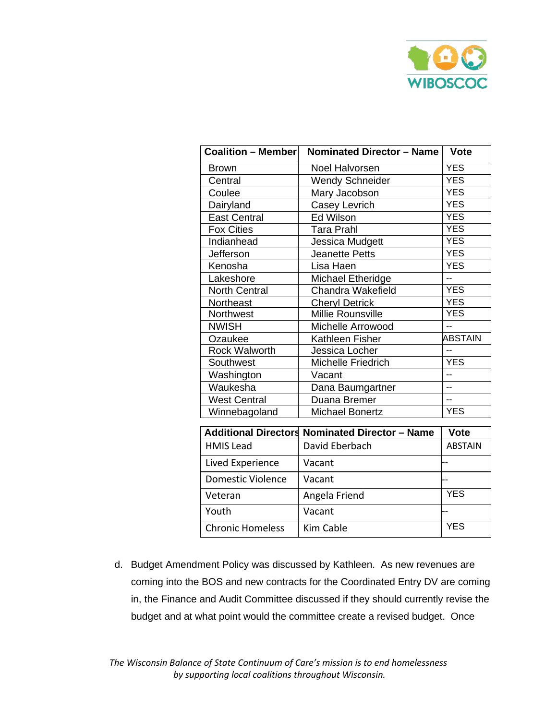

| $\overline{\text{Coalition}}$ – Member | <b>Nominated Director - Name</b>                      | <b>Vote</b>    |
|----------------------------------------|-------------------------------------------------------|----------------|
| <b>Brown</b>                           | Noel Halvorsen                                        | <b>YES</b>     |
| Central                                | <b>Wendy Schneider</b>                                | <b>YES</b>     |
| Coulee                                 | Mary Jacobson                                         | <b>YES</b>     |
| Dairyland                              | Casey Levrich                                         | <b>YES</b>     |
| <b>East Central</b>                    | Ed Wilson                                             | <b>YES</b>     |
| <b>Fox Cities</b>                      | <b>Tara Prahl</b>                                     | <b>YES</b>     |
| Indianhead                             | Jessica Mudgett                                       | <b>YES</b>     |
| Jefferson                              | <b>Jeanette Petts</b>                                 | <b>YES</b>     |
| Kenosha                                | Lisa Haen                                             | <b>YES</b>     |
| Lakeshore                              | Michael Etheridge                                     | $-$            |
| <b>North Central</b>                   | <b>Chandra Wakefield</b>                              | <b>YES</b>     |
| Northeast                              | <b>Cheryl Detrick</b>                                 | <b>YES</b>     |
| <b>Northwest</b>                       | <b>Millie Rounsville</b>                              | <b>YES</b>     |
| <b>NWISH</b>                           | Michelle Arrowood                                     |                |
| Ozaukee                                | Kathleen Fisher                                       | <b>ABSTAIN</b> |
| <b>Rock Walworth</b>                   | Jessica Locher                                        | $-$            |
| Southwest                              | <b>Michelle Friedrich</b>                             | <b>YES</b>     |
| Washington                             | Vacant                                                | $\overline{a}$ |
| Waukesha                               | Dana Baumgartner                                      | $-$            |
| <b>West Central</b>                    | Duana Bremer                                          | $\overline{a}$ |
| Winnebagoland                          | <b>Michael Bonertz</b>                                | <b>YES</b>     |
|                                        | <b>Additional Directors Nominated Director - Name</b> | <b>Vote</b>    |
|                                        |                                                       |                |
| <b>HMIS Lead</b>                       | David Eberbach                                        | <b>ABSTAIN</b> |
| Lived Experience                       | Vacant                                                |                |
| <b>Domestic Violence</b>               | Vacant                                                |                |
| Veteran                                | Angela Friend                                         | <b>YES</b>     |
| Youth                                  | Vacant                                                |                |

d. Budget Amendment Policy was discussed by Kathleen. As new revenues are coming into the BOS and new contracts for the Coordinated Entry DV are coming in, the Finance and Audit Committee discussed if they should currently revise the budget and at what point would the committee create a revised budget. Once

Chronic Homeless | Kim Cable | YES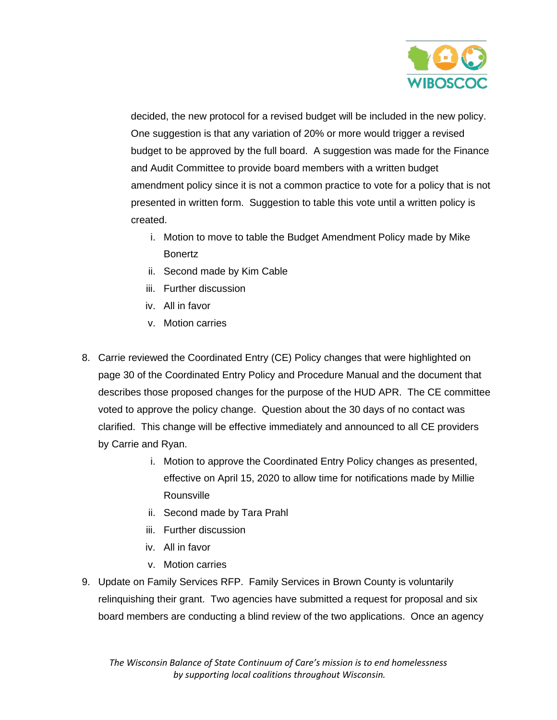

decided, the new protocol for a revised budget will be included in the new policy. One suggestion is that any variation of 20% or more would trigger a revised budget to be approved by the full board. A suggestion was made for the Finance and Audit Committee to provide board members with a written budget amendment policy since it is not a common practice to vote for a policy that is not presented in written form. Suggestion to table this vote until a written policy is created.

- i. Motion to move to table the Budget Amendment Policy made by Mike Bonertz
- ii. Second made by Kim Cable
- iii. Further discussion
- iv. All in favor
- v. Motion carries
- 8. Carrie reviewed the Coordinated Entry (CE) Policy changes that were highlighted on page 30 of the Coordinated Entry Policy and Procedure Manual and the document that describes those proposed changes for the purpose of the HUD APR. The CE committee voted to approve the policy change. Question about the 30 days of no contact was clarified. This change will be effective immediately and announced to all CE providers by Carrie and Ryan.
	- i. Motion to approve the Coordinated Entry Policy changes as presented, effective on April 15, 2020 to allow time for notifications made by Millie Rounsville
	- ii. Second made by Tara Prahl
	- iii. Further discussion
	- iv. All in favor
	- v. Motion carries
- 9. Update on Family Services RFP. Family Services in Brown County is voluntarily relinquishing their grant. Two agencies have submitted a request for proposal and six board members are conducting a blind review of the two applications. Once an agency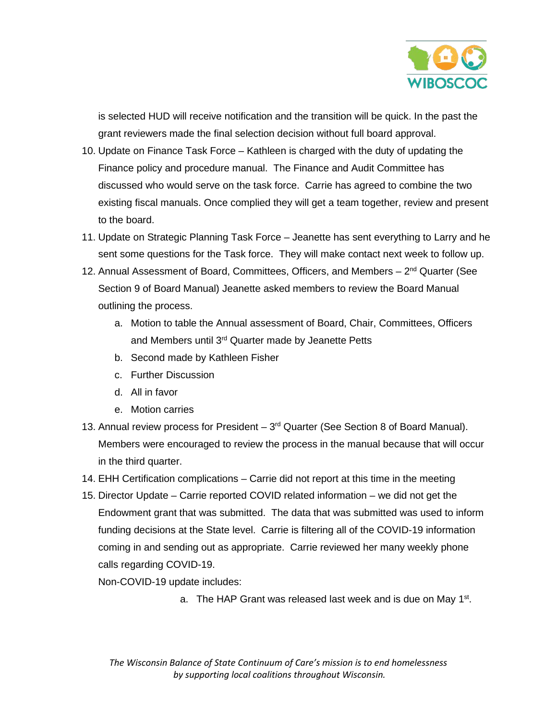

is selected HUD will receive notification and the transition will be quick. In the past the grant reviewers made the final selection decision without full board approval.

- 10. Update on Finance Task Force Kathleen is charged with the duty of updating the Finance policy and procedure manual. The Finance and Audit Committee has discussed who would serve on the task force. Carrie has agreed to combine the two existing fiscal manuals. Once complied they will get a team together, review and present to the board.
- 11. Update on Strategic Planning Task Force Jeanette has sent everything to Larry and he sent some questions for the Task force. They will make contact next week to follow up.
- 12. Annual Assessment of Board, Committees, Officers, and Members  $-2<sup>nd</sup>$  Quarter (See Section 9 of Board Manual) Jeanette asked members to review the Board Manual outlining the process.
	- a. Motion to table the Annual assessment of Board, Chair, Committees, Officers and Members until 3<sup>rd</sup> Quarter made by Jeanette Petts
	- b. Second made by Kathleen Fisher
	- c. Further Discussion
	- d. All in favor
	- e. Motion carries
- 13. Annual review process for President  $-3<sup>rd</sup>$  Quarter (See Section 8 of Board Manual). Members were encouraged to review the process in the manual because that will occur in the third quarter.
- 14. EHH Certification complications Carrie did not report at this time in the meeting
- 15. Director Update Carrie reported COVID related information we did not get the Endowment grant that was submitted. The data that was submitted was used to inform funding decisions at the State level. Carrie is filtering all of the COVID-19 information coming in and sending out as appropriate. Carrie reviewed her many weekly phone calls regarding COVID-19.

Non-COVID-19 update includes:

a. The HAP Grant was released last week and is due on May 1<sup>st</sup>.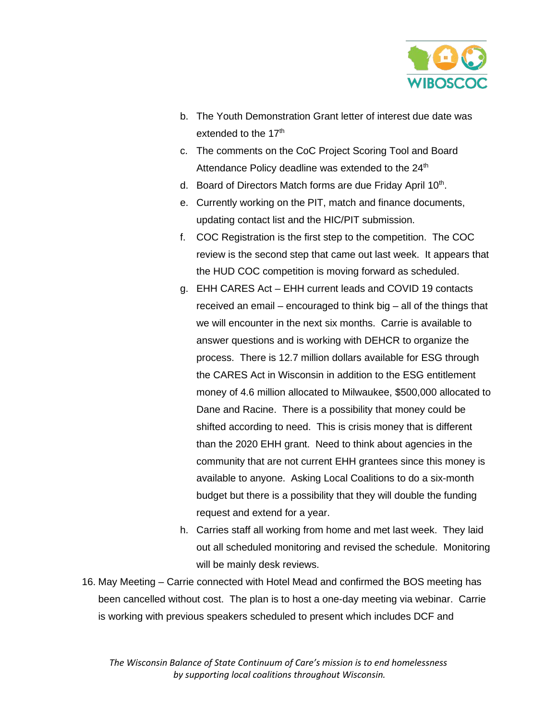

- b. The Youth Demonstration Grant letter of interest due date was extended to the 17<sup>th</sup>
- c. The comments on the CoC Project Scoring Tool and Board Attendance Policy deadline was extended to the 24<sup>th</sup>
- d. Board of Directors Match forms are due Friday April  $10<sup>th</sup>$ .
- e. Currently working on the PIT, match and finance documents, updating contact list and the HIC/PIT submission.
- f. COC Registration is the first step to the competition. The COC review is the second step that came out last week. It appears that the HUD COC competition is moving forward as scheduled.
- g. EHH CARES Act EHH current leads and COVID 19 contacts received an email – encouraged to think big – all of the things that we will encounter in the next six months. Carrie is available to answer questions and is working with DEHCR to organize the process. There is 12.7 million dollars available for ESG through the CARES Act in Wisconsin in addition to the ESG entitlement money of 4.6 million allocated to Milwaukee, \$500,000 allocated to Dane and Racine. There is a possibility that money could be shifted according to need. This is crisis money that is different than the 2020 EHH grant. Need to think about agencies in the community that are not current EHH grantees since this money is available to anyone. Asking Local Coalitions to do a six-month budget but there is a possibility that they will double the funding request and extend for a year.
- h. Carries staff all working from home and met last week. They laid out all scheduled monitoring and revised the schedule. Monitoring will be mainly desk reviews.
- 16. May Meeting Carrie connected with Hotel Mead and confirmed the BOS meeting has been cancelled without cost. The plan is to host a one-day meeting via webinar. Carrie is working with previous speakers scheduled to present which includes DCF and